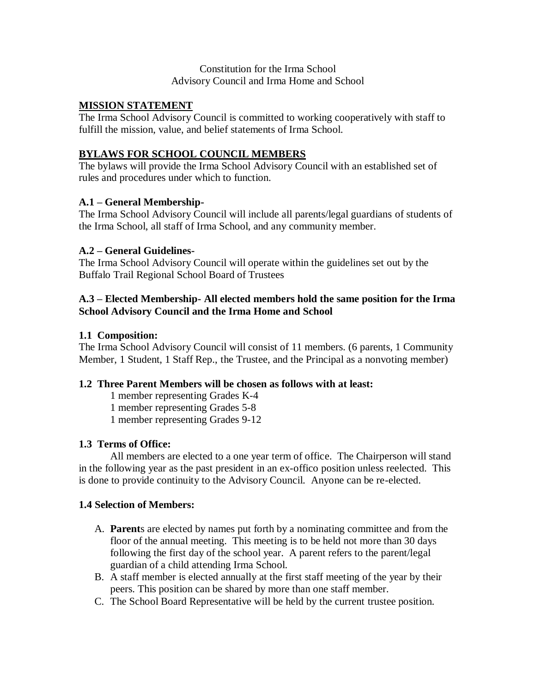### Constitution for the Irma School Advisory Council and Irma Home and School

### **MISSION STATEMENT**

The Irma School Advisory Council is committed to working cooperatively with staff to fulfill the mission, value, and belief statements of Irma School.

## **BYLAWS FOR SCHOOL COUNCIL MEMBERS**

The bylaws will provide the Irma School Advisory Council with an established set of rules and procedures under which to function.

### **A.1 – General Membership-**

The Irma School Advisory Council will include all parents/legal guardians of students of the Irma School, all staff of Irma School, and any community member.

## **A.2 – General Guidelines-**

The Irma School Advisory Council will operate within the guidelines set out by the Buffalo Trail Regional School Board of Trustees

## **A.3 – Elected Membership- All elected members hold the same position for the Irma School Advisory Council and the Irma Home and School**

### **1.1 Composition:**

The Irma School Advisory Council will consist of 11 members. (6 parents, 1 Community Member, 1 Student, 1 Staff Rep., the Trustee, and the Principal as a nonvoting member)

# **1.2 Three Parent Members will be chosen as follows with at least:**

1 member representing Grades K-4

1 member representing Grades 5-8

1 member representing Grades 9-12

### **1.3 Terms of Office:**

All members are elected to a one year term of office. The Chairperson will stand in the following year as the past president in an ex-offico position unless reelected. This is done to provide continuity to the Advisory Council. Anyone can be re-elected.

### **1.4 Selection of Members:**

- A. **Parent**s are elected by names put forth by a nominating committee and from the floor of the annual meeting. This meeting is to be held not more than 30 days following the first day of the school year. A parent refers to the parent/legal guardian of a child attending Irma School.
- B. A staff member is elected annually at the first staff meeting of the year by their peers. This position can be shared by more than one staff member.
- C. The School Board Representative will be held by the current trustee position.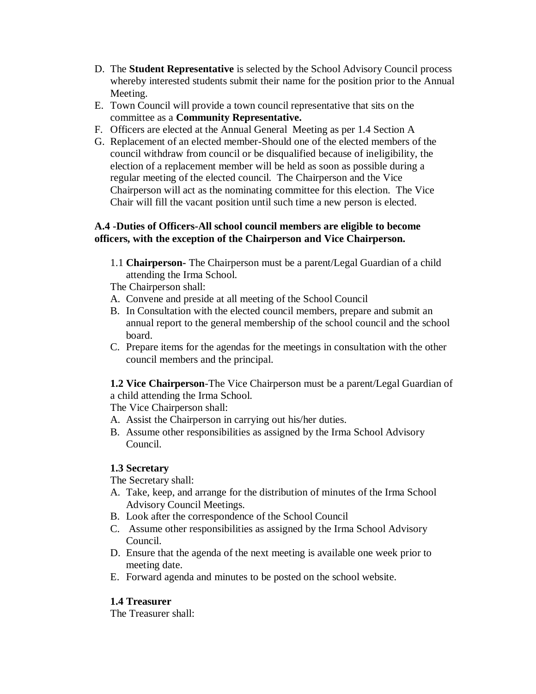- D. The **Student Representative** is selected by the School Advisory Council process whereby interested students submit their name for the position prior to the Annual Meeting.
- E. Town Council will provide a town council representative that sits on the committee as a **Community Representative.**
- F. Officers are elected at the Annual General Meeting as per 1.4 Section A
- G. Replacement of an elected member-Should one of the elected members of the council withdraw from council or be disqualified because of ineligibility, the election of a replacement member will be held as soon as possible during a regular meeting of the elected council. The Chairperson and the Vice Chairperson will act as the nominating committee for this election. The Vice Chair will fill the vacant position until such time a new person is elected.

### **A.4 -Duties of Officers-All school council members are eligible to become officers, with the exception of the Chairperson and Vice Chairperson.**

1.1 **Chairperson-** The Chairperson must be a parent/Legal Guardian of a child attending the Irma School.

The Chairperson shall:

- A. Convene and preside at all meeting of the School Council
- B. In Consultation with the elected council members, prepare and submit an annual report to the general membership of the school council and the school board.
- C. Prepare items for the agendas for the meetings in consultation with the other council members and the principal.

**1.2 Vice Chairperson**-The Vice Chairperson must be a parent/Legal Guardian of a child attending the Irma School.

The Vice Chairperson shall:

- A. Assist the Chairperson in carrying out his/her duties.
- B. Assume other responsibilities as assigned by the Irma School Advisory Council.

# **1.3 Secretary**

The Secretary shall:

- A. Take, keep, and arrange for the distribution of minutes of the Irma School Advisory Council Meetings.
- B. Look after the correspondence of the School Council
- C. Assume other responsibilities as assigned by the Irma School Advisory Council.
- D. Ensure that the agenda of the next meeting is available one week prior to meeting date.
- E. Forward agenda and minutes to be posted on the school website.

# **1.4 Treasurer**

The Treasurer shall: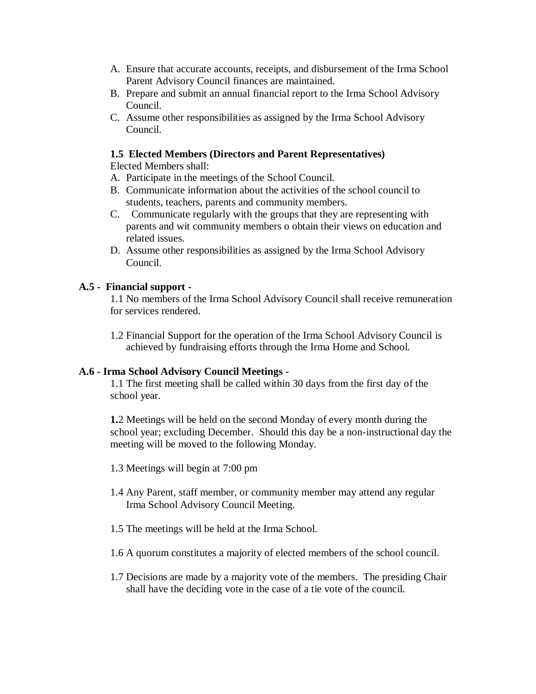- A. Ensure that accurate accounts, receipts, and disbursement of the Irma School Parent Advisory Council finances are maintained.
- B. Prepare and submit an annual financial report to the Irma School Advisory Council.
- C. Assume other responsibilities as assigned by the Irma School Advisory Council.

### **1.5 Elected Members (Directors and Parent Representatives)**

Elected Members shall:

- A. Participate in the meetings of the School Council.
- B. Communicate information about the activities of the school council to students, teachers, parents and community members.
- C. Communicate regularly with the groups that they are representing with parents and wit community members o obtain their views on education and related issues.
- D. Assume other responsibilities as assigned by the Irma School Advisory Council.

### **A.5 - Financial support -**

1.1 No members of the Irma School Advisory Council shall receive remuneration for services rendered.

1.2 Financial Support for the operation of the Irma School Advisory Council is achieved by fundraising efforts through the Irma Home and School.

### **A.6 - Irma School Advisory Council Meetings -**

1.1 The first meeting shall be called within 30 days from the first day of the school year.

**1.**2 Meetings will be held on the second Monday of every month during the school year; excluding December. Should this day be a non-instructional day the meeting will be moved to the following Monday.

- 1.3 Meetings will begin at 7:00 pm
- 1.4 Any Parent, staff member, or community member may attend any regular Irma School Advisory Council Meeting.
- 1.5 The meetings will be held at the Irma School.
- 1.6 A quorum constitutes a majority of elected members of the school council.
- 1.7 Decisions are made by a majority vote of the members. The presiding Chair shall have the deciding vote in the case of a tie vote of the council.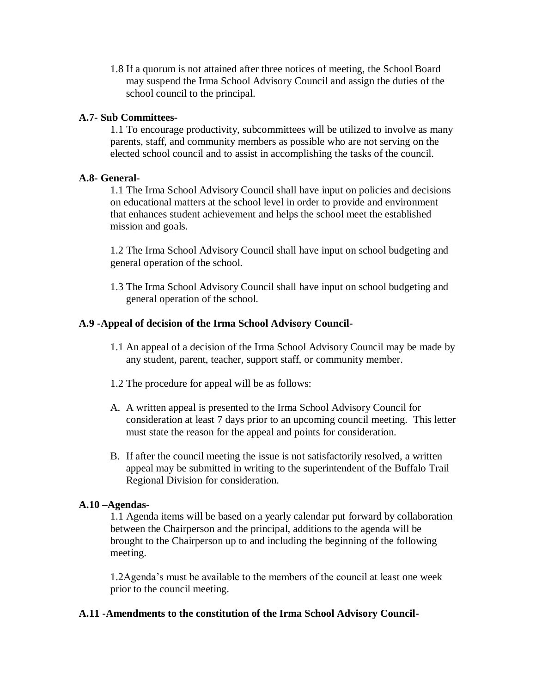1.8 If a quorum is not attained after three notices of meeting, the School Board may suspend the Irma School Advisory Council and assign the duties of the school council to the principal.

### **A.7- Sub Committees-**

1.1 To encourage productivity, subcommittees will be utilized to involve as many parents, staff, and community members as possible who are not serving on the elected school council and to assist in accomplishing the tasks of the council.

#### **A.8- General-**

1.1 The Irma School Advisory Council shall have input on policies and decisions on educational matters at the school level in order to provide and environment that enhances student achievement and helps the school meet the established mission and goals.

1.2 The Irma School Advisory Council shall have input on school budgeting and general operation of the school.

1.3 The Irma School Advisory Council shall have input on school budgeting and general operation of the school.

### **A.9 -Appeal of decision of the Irma School Advisory Council-**

- 1.1 An appeal of a decision of the Irma School Advisory Council may be made by any student, parent, teacher, support staff, or community member.
- 1.2 The procedure for appeal will be as follows:
- A. A written appeal is presented to the Irma School Advisory Council for consideration at least 7 days prior to an upcoming council meeting. This letter must state the reason for the appeal and points for consideration.
- B. If after the council meeting the issue is not satisfactorily resolved, a written appeal may be submitted in writing to the superintendent of the Buffalo Trail Regional Division for consideration.

### **A.10 –Agendas-**

1.1 Agenda items will be based on a yearly calendar put forward by collaboration between the Chairperson and the principal, additions to the agenda will be brought to the Chairperson up to and including the beginning of the following meeting.

1.2Agenda's must be available to the members of the council at least one week prior to the council meeting.

#### **A.11 -Amendments to the constitution of the Irma School Advisory Council-**